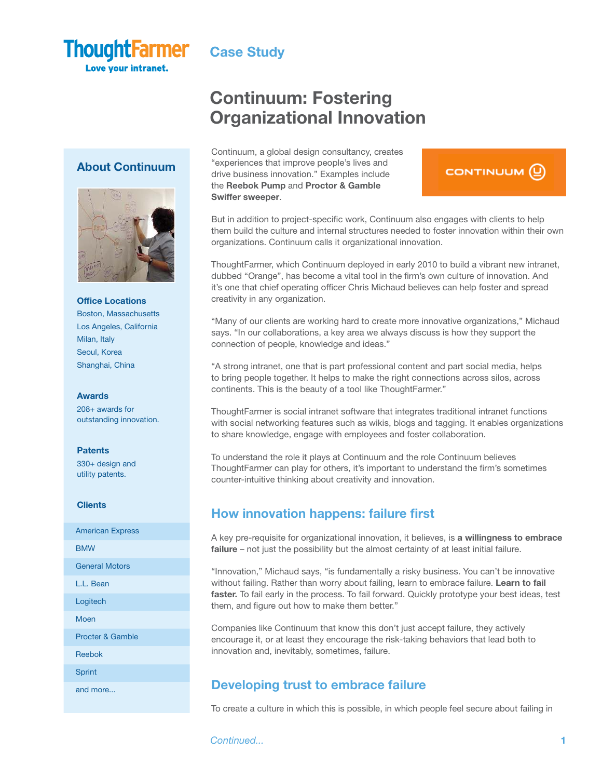

**Love your intranet.** 

# Continuum: Fostering Organizational Innovation

### Continuum, a global design consultancy, creates "experiences that improve people's lives and drive business innovation." Examples include the Reebok Pump and Proctor & Gamble Swiffer sweeper.

# CONTINUUM<sup>(0)</sup>

But in addition to project-specific work, Continuum also engages with clients to help them build the culture and internal structures needed to foster innovation within their own organizations. Continuum calls it organizational innovation.

ThoughtFarmer, which Continuum deployed in early 2010 to build a vibrant new intranet, dubbed "Orange", has become a vital tool in the firm's own culture of innovation. And it's one that chief operating officer Chris Michaud believes can help foster and spread creativity in any organization.

"Many of our clients are working hard to create more innovative organizations," Michaud says. "In our collaborations, a key area we always discuss is how they support the connection of people, knowledge and ideas."

"A strong intranet, one that is part professional content and part social media, helps to bring people together. It helps to make the right connections across silos, across continents. This is the beauty of a tool like ThoughtFarmer."

ThoughtFarmer is social intranet software that integrates traditional intranet functions with social networking features such as wikis, blogs and tagging. It enables organizations to share knowledge, engage with employees and foster collaboration.

To understand the role it plays at Continuum and the role Continuum believes ThoughtFarmer can play for others, it's important to understand the firm's sometimes counter-intuitive thinking about creativity and innovation.

## How innovation happens: failure first

A key pre-requisite for organizational innovation, it believes, is a willingness to embrace failure – not just the possibility but the almost certainty of at least initial failure.

"Innovation," Michaud says, "is fundamentally a risky business. You can't be innovative without failing. Rather than worry about failing, learn to embrace failure. Learn to fail faster. To fail early in the process. To fail forward. Quickly prototype your best ideas, test them, and figure out how to make them better."

Companies like Continuum that know this don't just accept failure, they actively encourage it, or at least they encourage the risk-taking behaviors that lead both to innovation and, inevitably, sometimes, failure.

## Developing trust to embrace failure

To create a culture in which this is possible, in which people feel secure about failing in

**Continued...** 1

### About Continuum



### Office Locations

Boston, Massachusetts Los Angeles, California Milan, Italy Seoul, Korea Shanghai, China

### Awards

208+ awards for outstanding innovation.

### **Patents**

330+ design and utility patents.

### **Clients**

American Express BMW General Motors L.L. Bean Logitech Moen Procter & Gamble Reebok Sprint and more...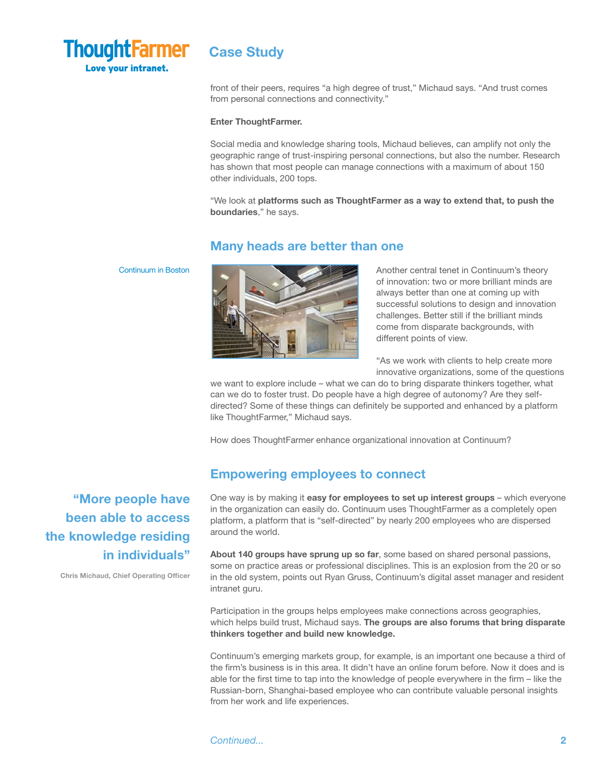

front of their peers, requires "a high degree of trust," Michaud says. "And trust comes from personal connections and connectivity."

### Enter ThoughtFarmer.

Social media and knowledge sharing tools, Michaud believes, can amplify not only the geographic range of trust-inspiring personal connections, but also the number. Research has shown that most people can manage connections with a maximum of about 150 other individuals, 200 tops.

"We look at platforms such as ThoughtFarmer as a way to extend that, to push the boundaries," he says.

### Many heads are better than one

### Continuum in Boston



Another central tenet in Continuum's theory of innovation: two or more brilliant minds are always better than one at coming up with successful solutions to design and innovation challenges. Better still if the brilliant minds come from disparate backgrounds, with different points of view.

"As we work with clients to help create more innovative organizations, some of the questions

we want to explore include – what we can do to bring disparate thinkers together, what can we do to foster trust. Do people have a high degree of autonomy? Are they selfdirected? Some of these things can definitely be supported and enhanced by a platform like ThoughtFarmer," Michaud says.

How does ThoughtFarmer enhance organizational innovation at Continuum?

### Empowering employees to connect

One way is by making it easy for employees to set up interest groups - which everyone in the organization can easily do. Continuum uses ThoughtFarmer as a completely open platform, a platform that is "self-directed" by nearly 200 employees who are dispersed around the world.

About 140 groups have sprung up so far, some based on shared personal passions, some on practice areas or professional disciplines. This is an explosion from the 20 or so in the old system, points out Ryan Gruss, Continuum's digital asset manager and resident intranet guru.

Participation in the groups helps employees make connections across geographies, which helps build trust, Michaud says. The groups are also forums that bring disparate thinkers together and build new knowledge.

Continuum's emerging markets group, for example, is an important one because a third of the firm's business is in this area. It didn't have an online forum before. Now it does and is able for the first time to tap into the knowledge of people everywhere in the firm – like the Russian-born, Shanghai-based employee who can contribute valuable personal insights from her work and life experiences.

"More people have been able to access the knowledge residing in individuals"

Chris Michaud, Chief Operating Officer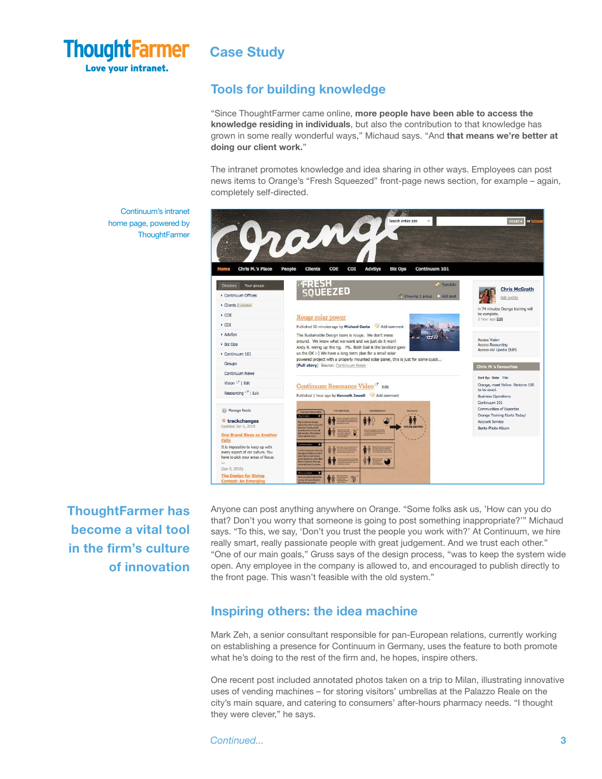

Continuum's intranet home page, powered by **ThoughtFarmer** 

## Tools for building knowledge

"Since ThoughtFarmer came online, more people have been able to access the knowledge residing in individuals, but also the contribution to that knowledge has grown in some really wonderful ways," Michaud says. "And that means we're better at doing our client work."

The intranet promotes knowledge and idea sharing in other ways. Employees can post news items to Orange's "Fresh Squeezed" front-page news section, for example – again, completely self-directed.



ThoughtFarmer has become a vital tool in the firm's culture of innovation

Anyone can post anything anywhere on Orange. "Some folks ask us, 'How can you do that? Don't you worry that someone is going to post something inappropriate?'" Michaud says. "To this, we say, 'Don't you trust the people you work with?' At Continuum, we hire really smart, really passionate people with great judgement. And we trust each other." "One of our main goals," Gruss says of the design process, "was to keep the system wide open. Any employee in the company is allowed to, and encouraged to publish directly to the front page. This wasn't feasible with the old system."

## Inspiring others: the idea machine

Mark Zeh, a senior consultant responsible for pan-European relations, currently working on establishing a presence for Continuum in Germany, uses the feature to both promote what he's doing to the rest of the firm and, he hopes, inspire others.

One recent post included annotated photos taken on a trip to Milan, illustrating innovative uses of vending machines – for storing visitors' umbrellas at the Palazzo Reale on the city's main square, and catering to consumers' after-hours pharmacy needs. "I thought they were clever," he says.

Continued...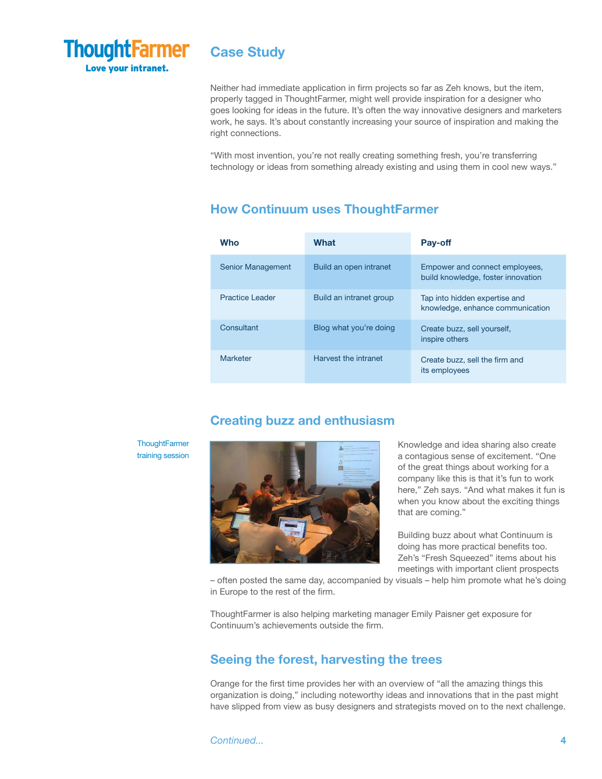

Neither had immediate application in firm projects so far as Zeh knows, but the item, properly tagged in ThoughtFarmer, might well provide inspiration for a designer who goes looking for ideas in the future. It's often the way innovative designers and marketers work, he says. It's about constantly increasing your source of inspiration and making the right connections.

"With most invention, you're not really creating something fresh, you're transferring technology or ideas from something already existing and using them in cool new ways."

## How Continuum uses ThoughtFarmer

| <b>Who</b>               | What                    | Pay-off                                                              |
|--------------------------|-------------------------|----------------------------------------------------------------------|
| <b>Senior Management</b> | Build an open intranet  | Empower and connect employees,<br>build knowledge, foster innovation |
| Practice Leader          | Build an intranet group | Tap into hidden expertise and<br>knowledge, enhance communication    |
| Consultant               | Blog what you're doing  | Create buzz, sell yourself,<br>inspire others                        |
| Marketer                 | Harvest the intranet    | Create buzz, sell the firm and<br>its employees                      |

## Creating buzz and enthusiasm

**ThoughtFarmer** training session



Knowledge and idea sharing also create a contagious sense of excitement. "One of the great things about working for a company like this is that it's fun to work here," Zeh says. "And what makes it fun is when you know about the exciting things that are coming."

Building buzz about what Continuum is doing has more practical benefits too. Zeh's "Fresh Squeezed" items about his meetings with important client prospects

– often posted the same day, accompanied by visuals – help him promote what he's doing in Europe to the rest of the firm.

ThoughtFarmer is also helping marketing manager Emily Paisner get exposure for Continuum's achievements outside the firm.

## Seeing the forest, harvesting the trees

Orange for the first time provides her with an overview of "all the amazing things this organization is doing," including noteworthy ideas and innovations that in the past might have slipped from view as busy designers and strategists moved on to the next challenge.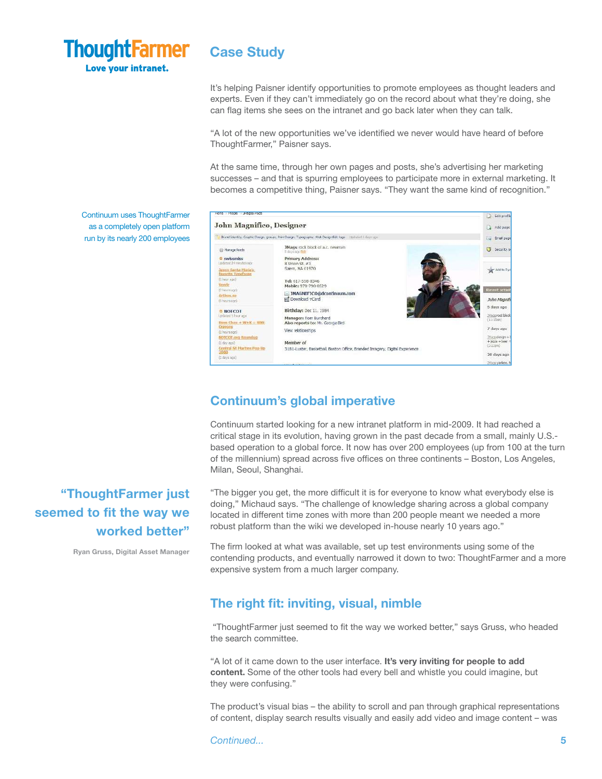

It's helping Paisner identify opportunities to promote employees as thought leaders and experts. Even if they can't immediately go on the record about what they're doing, she can flag items she sees on the intranet and go back later when they can talk.

"A lot of the new opportunities we've identified we never would have heard of before ThoughtFarmer," Paisner says.

At the same time, through her own pages and posts, she's advertising her marketing successes – and that is spurring employees to participate more in external marketing. It becomes a competitive thing, Paisner says. "They want the same kind of recognition."

Continuum uses ThoughtFarmer as a completely open platform run by its nearly 200 employees



## Continuum's global imperative

Continuum started looking for a new intranet platform in mid-2009. It had reached a critical stage in its evolution, having grown in the past decade from a small, mainly U.S. based operation to a global force. It now has over 200 employees (up from 100 at the turn of the millennium) spread across five offices on three continents – Boston, Los Angeles, Milan, Seoul, Shanghai.

"The bigger you get, the more difficult it is for everyone to know what everybody else is doing," Michaud says. "The challenge of knowledge sharing across a global company located in different time zones with more than 200 people meant we needed a more robust platform than the wiki we developed in-house nearly 10 years ago."

The firm looked at what was available, set up test environments using some of the contending products, and eventually narrowed it down to two: ThoughtFarmer and a more expensive system from a much larger company.

## The right fit: inviting, visual, nimble

 "ThoughtFarmer just seemed to fit the way we worked better," says Gruss, who headed the search committee.

"A lot of it came down to the user interface. It's very inviting for people to add content. Some of the other tools had every bell and whistle you could imagine, but they were confusing."

The product's visual bias – the ability to scroll and pan through graphical representations of content, display search results visually and easily add video and image content – was

Continued...

# "ThoughtFarmer just seemed to fit the way we worked better"

Ryan Gruss, Digital Asset Manager